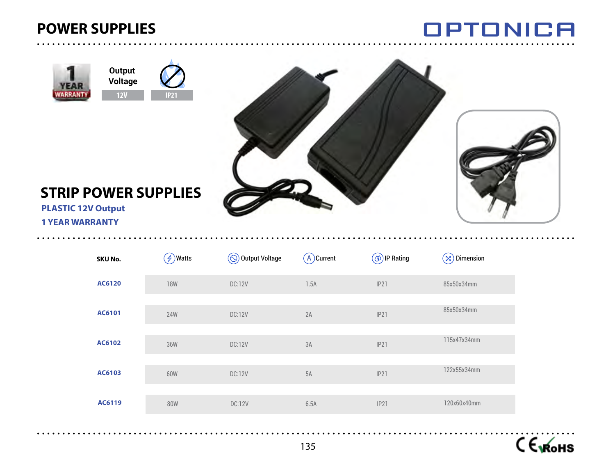



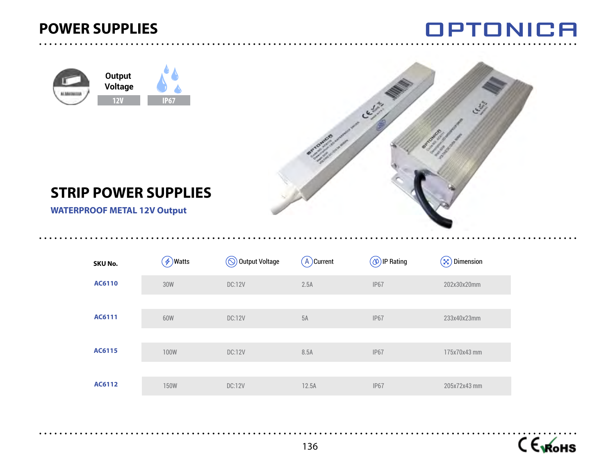





## **STRIP POWER SUPPLIES**

 **WATERPROOF METAL 12V Output**

| SKU No. | $\left(\frac{\mathcal{A}}{\mathcal{V}}\right)$ Watts | $\circledS$ Output Voltage | $(A)$ Current | $\circledcirc$ ) IP Rating | <b>Dimension</b><br>$(\boxtimes)$ |
|---------|------------------------------------------------------|----------------------------|---------------|----------------------------|-----------------------------------|
| AC6110  | 30W                                                  | <b>DC:12V</b>              | 2.5A          | IP <sub>67</sub>           | 202x30x20mm                       |
|         |                                                      |                            |               |                            |                                   |
| AC6111  | 60W                                                  | <b>DC:12V</b>              | 5A            | <b>IP67</b>                | 233x40x23mm                       |
|         |                                                      |                            |               |                            |                                   |
| AC6115  | <b>100W</b>                                          | <b>DC:12V</b>              | 8.5A          | IP <sub>67</sub>           | 175x70x43 mm                      |
|         |                                                      |                            |               |                            |                                   |
| AC6112  | <b>150W</b>                                          | <b>DC:12V</b>              | 12.5A         | <b>IP67</b>                | 205x72x43 mm                      |

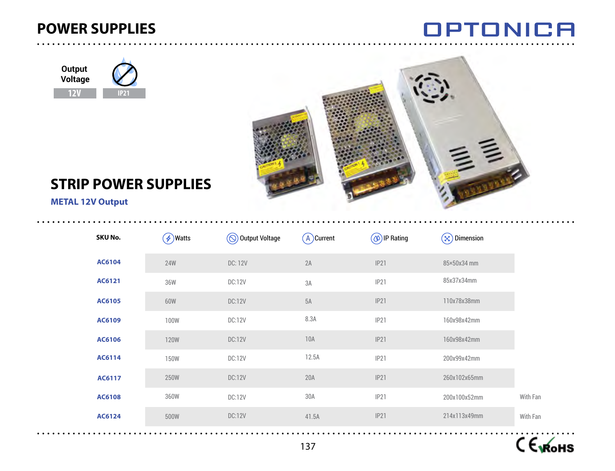





## **STRIP POWER SUPPLIES**

#### **METAL 12V Output**

| SKU No. | $(\phi)$ Watts | (◎) Output Voltage | $(A)$ Current | $(\circledcirc)$ IP Rating | $(\times)$ Dimension |          |
|---------|----------------|--------------------|---------------|----------------------------|----------------------|----------|
| AC6104  | <b>24W</b>     | DC: 12V            | 2A            | IP21                       | 85×50x34 mm          |          |
| AC6121  | 36W            | DC:12V             | 3A            | IP21                       | 85x37x34mm           |          |
| AC6105  | 60W            | <b>DC:12V</b>      | 5A            | IP21                       | 110x78x38mm          |          |
| AC6109  | <b>100W</b>    | <b>DC:12V</b>      | 8.3A          | IP21                       | 160x98x42mm          |          |
| AC6106  | <b>120W</b>    | <b>DC:12V</b>      | 10A           | IP21                       | 160x98x42mm          |          |
| AC6114  | <b>150W</b>    | DC:12V             | 12.5A         | IP21                       | 200x99x42mm          |          |
| AC6117  | 250W           | <b>DC:12V</b>      | 20A           | IP21                       | 260x102x65mm         |          |
| AC6108  | 360W           | <b>DC:12V</b>      | 30A           | IP21                       | 200x100x52mm         | With Fan |
| AC6124  | 500W           | <b>DC:12V</b>      | 41.5A         | IP21                       | 214x113x49mm         | With Fan |

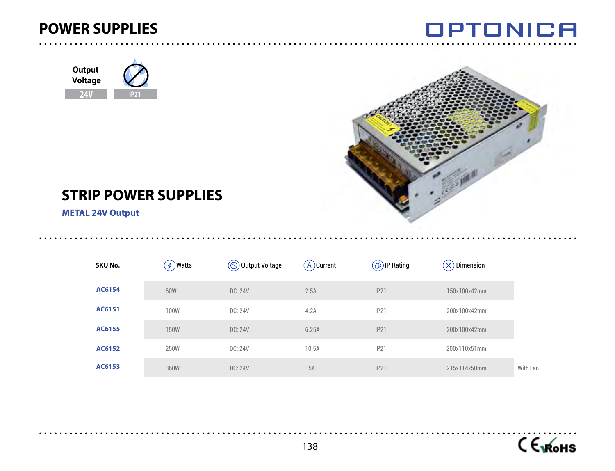

### **Output Voltage 24V IP21**



**OPTONICA** 

## **STRIP POWER SUPPLIES**

 **METAL 24V Output**

| SKU No. | $\oint$ )Watts | $\circledS$ Output Voltage | A Current | $(\circledA)$ IP Rating | $(\infty)$ Dimension |
|---------|----------------|----------------------------|-----------|-------------------------|----------------------|
| AC6154  | 60W            | <b>DC: 24V</b>             | 2.5A      | IP21                    | 150x100x42mm         |
| AC6151  | 100W           | DC: 24V                    | 4.2A      | IP21                    | 200x100x42mm         |
| AC6155  | <b>150W</b>    | DC: 24V                    | 6.25A     | IP21                    | 200x100x42mm         |
| AC6152  | 250W           | DC: 24V                    | 10.5A     | IP21                    | 200x110x51mm         |
| AC6153  | 360W           | <b>DC: 24V</b>             | 15A       | IP21                    | 215x114x50mm         |



. . . . . . . . . .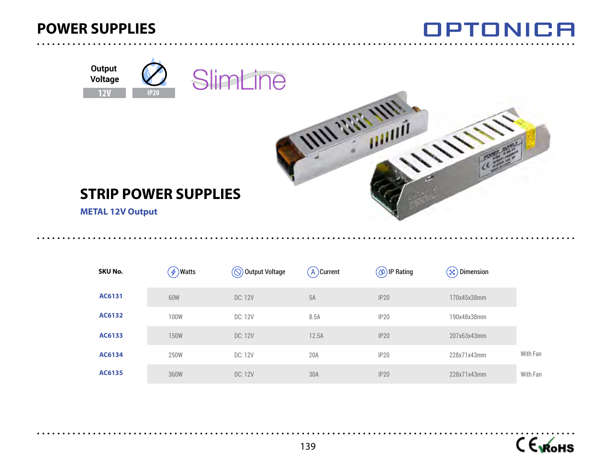





### **STRIP POWER SUPPLIES**

 **METAL 12V Output**

| SKU No. | $\oint$ )Watts | $\circled{)}$ Output Voltage | $(A)$ Current | $(\circledA)$ IP Rating | $\left( \infty\right)$ Dimension |          |
|---------|----------------|------------------------------|---------------|-------------------------|----------------------------------|----------|
| AC6131  | 60W            | DC: 12V                      | 5A            | IP20                    | 170x45x38mm                      |          |
| AC6132  | 100W           | DC: 12V                      | 8.5A          | IP20                    | 190x48x38mm                      |          |
| AC6133  | <b>150W</b>    | DC: 12V                      | 12.5A         | IP20                    | 207x63x43mm                      |          |
| AC6134  | 250W           | DC: 12V                      | 20A           | IP20                    | 228x71x43mm                      | With Fan |
| AC6135  | 360W           | DC: 12V                      | 30A           | IP20                    | 228x71x43mm                      | With Fan |